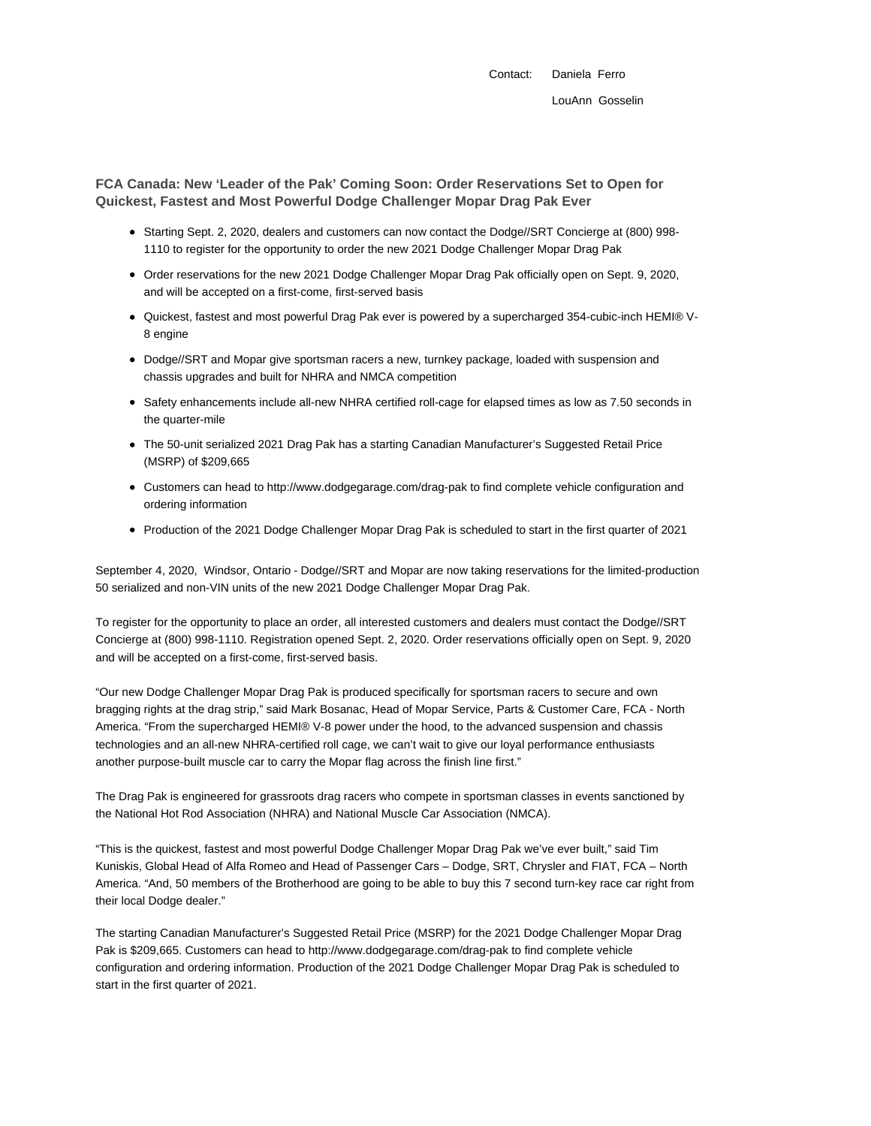**FCA Canada: New 'Leader of the Pak' Coming Soon: Order Reservations Set to Open for Quickest, Fastest and Most Powerful Dodge Challenger Mopar Drag Pak Ever**

- Starting Sept. 2, 2020, dealers and customers can now contact the Dodge//SRT Concierge at (800) 998- 1110 to register for the opportunity to order the new 2021 Dodge Challenger Mopar Drag Pak
- Order reservations for the new 2021 Dodge Challenger Mopar Drag Pak officially open on Sept. 9, 2020, and will be accepted on a first-come, first-served basis
- Quickest, fastest and most powerful Drag Pak ever is powered by a supercharged 354-cubic-inch HEMI® V-8 engine
- Dodge//SRT and Mopar give sportsman racers a new, turnkey package, loaded with suspension and chassis upgrades and built for NHRA and NMCA competition
- Safety enhancements include all-new NHRA certified roll-cage for elapsed times as low as 7.50 seconds in the quarter-mile
- The 50-unit serialized 2021 Drag Pak has a starting Canadian Manufacturer's Suggested Retail Price (MSRP) of \$209,665
- Customers can head to http://www.dodgegarage.com/drag-pak to find complete vehicle configuration and ordering information
- Production of the 2021 Dodge Challenger Mopar Drag Pak is scheduled to start in the first quarter of 2021

September 4, 2020, Windsor, Ontario - Dodge//SRT and Mopar are now taking reservations for the limited-production 50 serialized and non-VIN units of the new 2021 Dodge Challenger Mopar Drag Pak.

To register for the opportunity to place an order, all interested customers and dealers must contact the Dodge//SRT Concierge at (800) 998-1110. Registration opened Sept. 2, 2020. Order reservations officially open on Sept. 9, 2020 and will be accepted on a first-come, first-served basis.

"Our new Dodge Challenger Mopar Drag Pak is produced specifically for sportsman racers to secure and own bragging rights at the drag strip," said Mark Bosanac, Head of Mopar Service, Parts & Customer Care, FCA - North America. "From the supercharged HEMI® V-8 power under the hood, to the advanced suspension and chassis technologies and an all-new NHRA-certified roll cage, we can't wait to give our loyal performance enthusiasts another purpose-built muscle car to carry the Mopar flag across the finish line first."

The Drag Pak is engineered for grassroots drag racers who compete in sportsman classes in events sanctioned by the National Hot Rod Association (NHRA) and National Muscle Car Association (NMCA).

"This is the quickest, fastest and most powerful Dodge Challenger Mopar Drag Pak we've ever built," said Tim Kuniskis, Global Head of Alfa Romeo and Head of Passenger Cars – Dodge, SRT, Chrysler and FIAT, FCA – North America. "And, 50 members of the Brotherhood are going to be able to buy this 7 second turn-key race car right from their local Dodge dealer."

The starting Canadian Manufacturer's Suggested Retail Price (MSRP) for the 2021 Dodge Challenger Mopar Drag Pak is \$209,665. Customers can head to http://www.dodgegarage.com/drag-pak to find complete vehicle configuration and ordering information. Production of the 2021 Dodge Challenger Mopar Drag Pak is scheduled to start in the first quarter of 2021.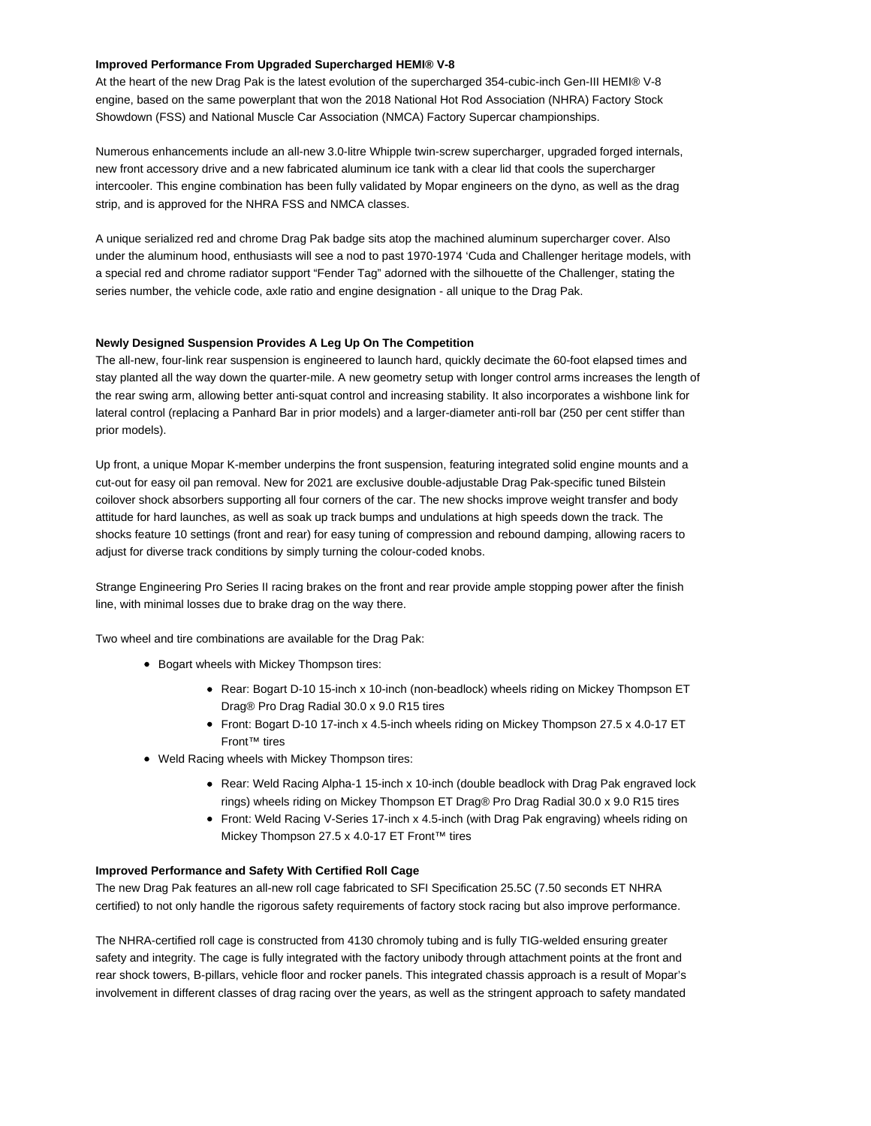## **Improved Performance From Upgraded Supercharged HEMI® V-8**

At the heart of the new Drag Pak is the latest evolution of the supercharged 354-cubic-inch Gen-III HEMI® V-8 engine, based on the same powerplant that won the 2018 National Hot Rod Association (NHRA) Factory Stock Showdown (FSS) and National Muscle Car Association (NMCA) Factory Supercar championships.

Numerous enhancements include an all-new 3.0-litre Whipple twin-screw supercharger, upgraded forged internals, new front accessory drive and a new fabricated aluminum ice tank with a clear lid that cools the supercharger intercooler. This engine combination has been fully validated by Mopar engineers on the dyno, as well as the drag strip, and is approved for the NHRA FSS and NMCA classes.

A unique serialized red and chrome Drag Pak badge sits atop the machined aluminum supercharger cover. Also under the aluminum hood, enthusiasts will see a nod to past 1970-1974 'Cuda and Challenger heritage models, with a special red and chrome radiator support "Fender Tag" adorned with the silhouette of the Challenger, stating the series number, the vehicle code, axle ratio and engine designation - all unique to the Drag Pak.

# **Newly Designed Suspension Provides A Leg Up On The Competition**

The all-new, four-link rear suspension is engineered to launch hard, quickly decimate the 60-foot elapsed times and stay planted all the way down the quarter-mile. A new geometry setup with longer control arms increases the length of the rear swing arm, allowing better anti-squat control and increasing stability. It also incorporates a wishbone link for lateral control (replacing a Panhard Bar in prior models) and a larger-diameter anti-roll bar (250 per cent stiffer than prior models).

Up front, a unique Mopar K-member underpins the front suspension, featuring integrated solid engine mounts and a cut-out for easy oil pan removal. New for 2021 are exclusive double-adjustable Drag Pak-specific tuned Bilstein coilover shock absorbers supporting all four corners of the car. The new shocks improve weight transfer and body attitude for hard launches, as well as soak up track bumps and undulations at high speeds down the track. The shocks feature 10 settings (front and rear) for easy tuning of compression and rebound damping, allowing racers to adjust for diverse track conditions by simply turning the colour-coded knobs.

Strange Engineering Pro Series II racing brakes on the front and rear provide ample stopping power after the finish line, with minimal losses due to brake drag on the way there.

Two wheel and tire combinations are available for the Drag Pak:

- Bogart wheels with Mickey Thompson tires:
	- Rear: Bogart D-10 15-inch x 10-inch (non-beadlock) wheels riding on Mickey Thompson ET Drag® Pro Drag Radial 30.0 x 9.0 R15 tires
	- Front: Bogart D-10 17-inch x 4.5-inch wheels riding on Mickey Thompson 27.5 x 4.0-17 ET Front™ tires
- Weld Racing wheels with Mickey Thompson tires:
	- Rear: Weld Racing Alpha-1 15-inch x 10-inch (double beadlock with Drag Pak engraved lock rings) wheels riding on Mickey Thompson ET Drag® Pro Drag Radial 30.0 x 9.0 R15 tires
	- Front: Weld Racing V-Series 17-inch x 4.5-inch (with Drag Pak engraving) wheels riding on Mickey Thompson 27.5 x 4.0-17 ET Front™ tires

# **Improved Performance and Safety With Certified Roll Cage**

The new Drag Pak features an all-new roll cage fabricated to SFI Specification 25.5C (7.50 seconds ET NHRA certified) to not only handle the rigorous safety requirements of factory stock racing but also improve performance.

The NHRA-certified roll cage is constructed from 4130 chromoly tubing and is fully TIG-welded ensuring greater safety and integrity. The cage is fully integrated with the factory unibody through attachment points at the front and rear shock towers, B-pillars, vehicle floor and rocker panels. This integrated chassis approach is a result of Mopar's involvement in different classes of drag racing over the years, as well as the stringent approach to safety mandated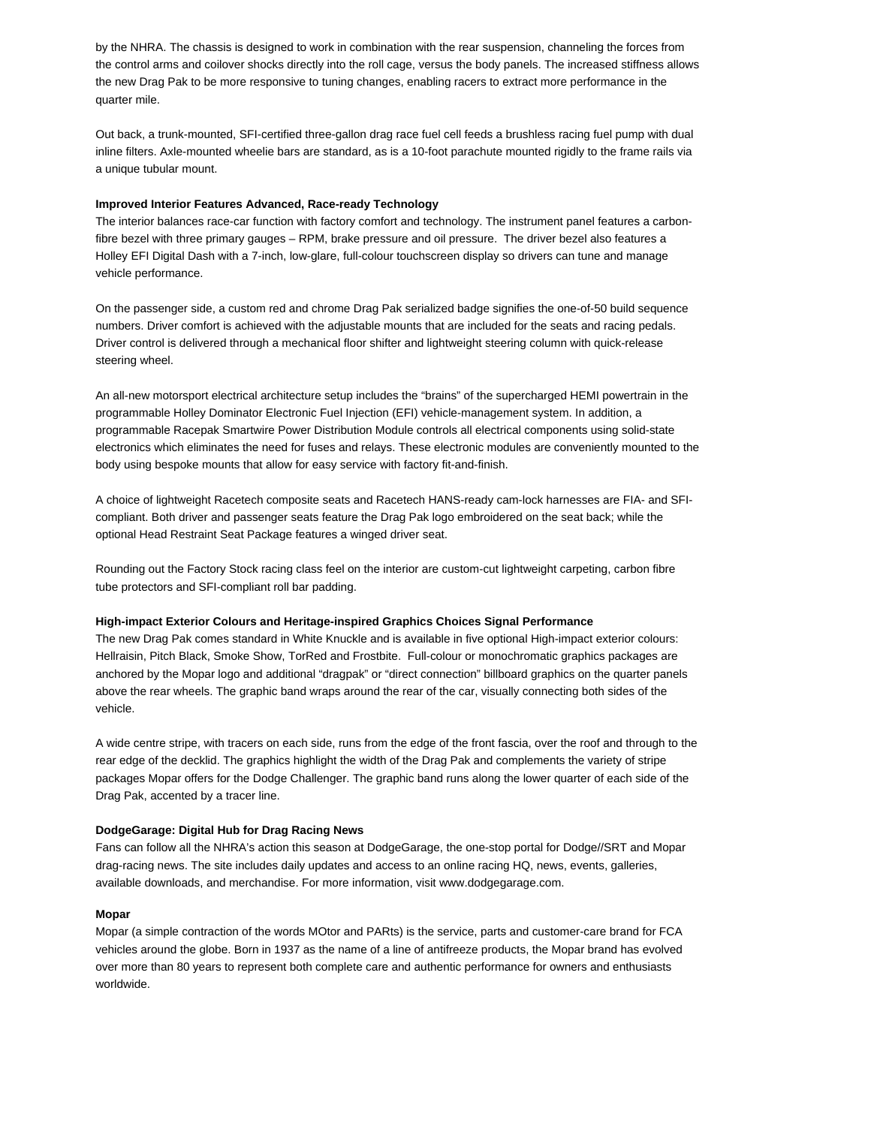by the NHRA. The chassis is designed to work in combination with the rear suspension, channeling the forces from the control arms and coilover shocks directly into the roll cage, versus the body panels. The increased stiffness allows the new Drag Pak to be more responsive to tuning changes, enabling racers to extract more performance in the quarter mile.

Out back, a trunk-mounted, SFI-certified three-gallon drag race fuel cell feeds a brushless racing fuel pump with dual inline filters. Axle-mounted wheelie bars are standard, as is a 10-foot parachute mounted rigidly to the frame rails via a unique tubular mount.

## **Improved Interior Features Advanced, Race-ready Technology**

The interior balances race-car function with factory comfort and technology. The instrument panel features a carbonfibre bezel with three primary gauges – RPM, brake pressure and oil pressure. The driver bezel also features a Holley EFI Digital Dash with a 7-inch, low-glare, full-colour touchscreen display so drivers can tune and manage vehicle performance.

On the passenger side, a custom red and chrome Drag Pak serialized badge signifies the one-of-50 build sequence numbers. Driver comfort is achieved with the adjustable mounts that are included for the seats and racing pedals. Driver control is delivered through a mechanical floor shifter and lightweight steering column with quick-release steering wheel.

An all-new motorsport electrical architecture setup includes the "brains" of the supercharged HEMI powertrain in the programmable Holley Dominator Electronic Fuel Injection (EFI) vehicle-management system. In addition, a programmable Racepak Smartwire Power Distribution Module controls all electrical components using solid-state electronics which eliminates the need for fuses and relays. These electronic modules are conveniently mounted to the body using bespoke mounts that allow for easy service with factory fit-and-finish.

A choice of lightweight Racetech composite seats and Racetech HANS-ready cam-lock harnesses are FIA- and SFIcompliant. Both driver and passenger seats feature the Drag Pak logo embroidered on the seat back; while the optional Head Restraint Seat Package features a winged driver seat.

Rounding out the Factory Stock racing class feel on the interior are custom-cut lightweight carpeting, carbon fibre tube protectors and SFI-compliant roll bar padding.

#### **High-impact Exterior Colours and Heritage-inspired Graphics Choices Signal Performance**

The new Drag Pak comes standard in White Knuckle and is available in five optional High-impact exterior colours: Hellraisin, Pitch Black, Smoke Show, TorRed and Frostbite. Full-colour or monochromatic graphics packages are anchored by the Mopar logo and additional "dragpak" or "direct connection" billboard graphics on the quarter panels above the rear wheels. The graphic band wraps around the rear of the car, visually connecting both sides of the vehicle.

A wide centre stripe, with tracers on each side, runs from the edge of the front fascia, over the roof and through to the rear edge of the decklid. The graphics highlight the width of the Drag Pak and complements the variety of stripe packages Mopar offers for the Dodge Challenger. The graphic band runs along the lower quarter of each side of the Drag Pak, accented by a tracer line.

# **DodgeGarage: Digital Hub for Drag Racing News**

Fans can follow all the NHRA's action this season at DodgeGarage, the one-stop portal for Dodge//SRT and Mopar drag-racing news. The site includes daily updates and access to an online racing HQ, news, events, galleries, available downloads, and merchandise. For more information, visit www.dodgegarage.com.

# **Mopar**

Mopar (a simple contraction of the words MOtor and PARts) is the service, parts and customer-care brand for FCA vehicles around the globe. Born in 1937 as the name of a line of antifreeze products, the Mopar brand has evolved over more than 80 years to represent both complete care and authentic performance for owners and enthusiasts worldwide.